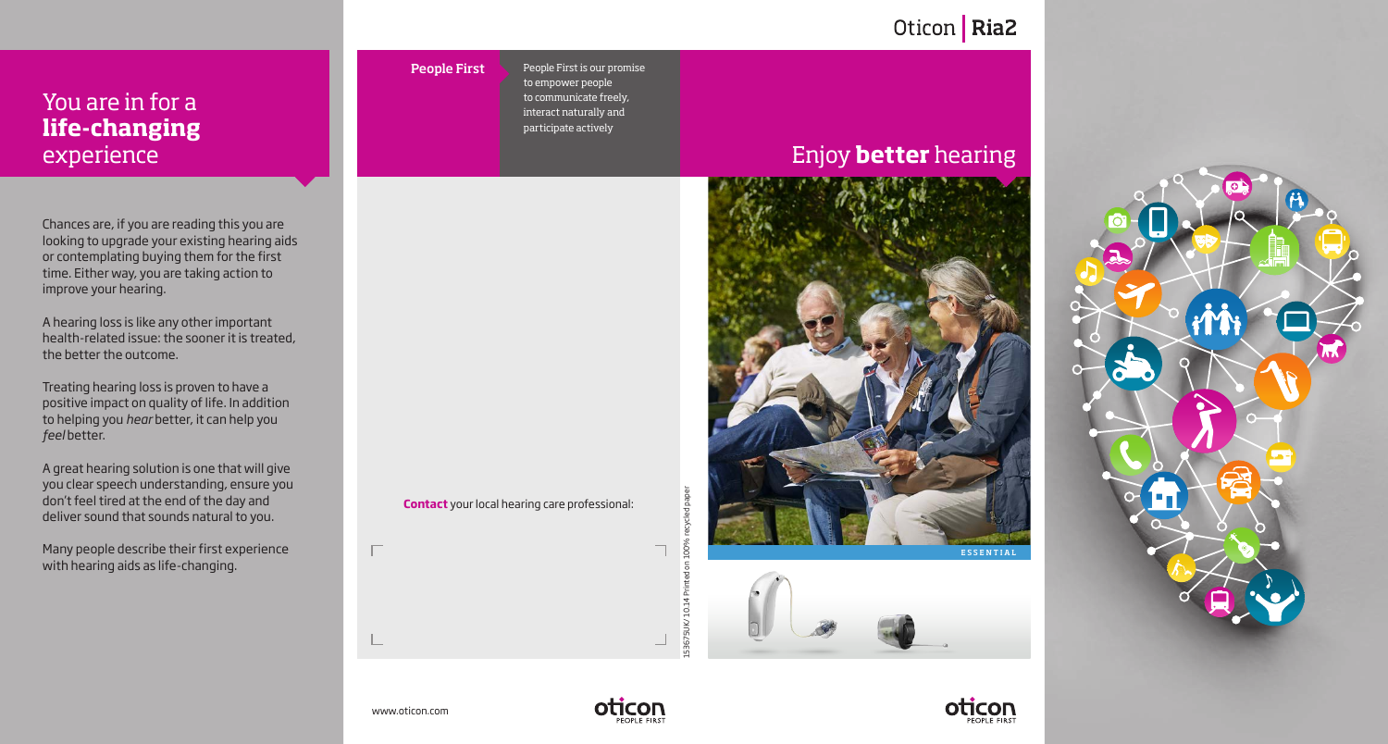# Oticon | Ria2

## You are in for a **life-changing** experience

Chances are, if you are reading this you are looking to upgrade your existing hearing aids or contemplating buying them for the first time. Either way, you are taking action to improve your hearing.

A hearing loss is like any other important health-related issue: the sooner it is treated, the better the outcome.

Treating hearing loss is proven to have a positive impact on quality of life. In addition to helping you *hear* better, it can help you *feel* better.

A great hearing solution is one that will give you clear speech understanding, ensure you don't feel tired at the end of the day and deliver sound that sounds natural to you.

Many people describe their first experience with hearing aids as life-changing.

People First is our promise to empower people to communicate freely, interact naturally and participate actively People First

**Contact** your local hearing care professional:

# Enjoy **better** hearing







www.oticon.com

 $\Box$ 



153675UK/ 10.14 Printed on 100% recycled paper